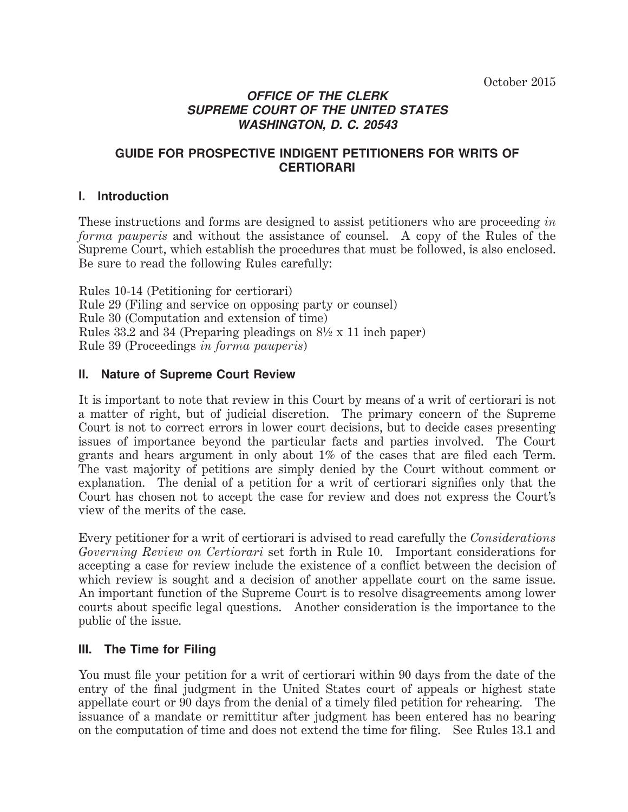#### **OFFICE OF THE CLERK SUPREME COURT OF THE UNITED STATES WASHINGTON, D. C. 20543**

#### **GUIDE FOR PROSPECTIVE INDIGENT PETITIONERS FOR WRITS OF CERTIORARI**

#### **I. Introduction**

These instructions and forms are designed to assist petitioners who are proceeding *in forma pauperis* and without the assistance of counsel. A copy of the Rules of the Supreme Court, which establish the procedures that must be followed, is also enclosed. Be sure to read the following Rules carefully:

Rules 10-14 (Petitioning for certiorari) Rule 29 (Filing and service on opposing party or counsel) Rule 30 (Computation and extension of time) Rules 33.2 and 34 (Preparing pleadings on  $8\frac{1}{2}$  x 11 inch paper) Rule 39 (Proceedings *in forma pauperis*)

#### **II. Nature of Supreme Court Review**

It is important to note that review in this Court by means of a writ of certiorari is not a matter of right, but of judicial discretion. The primary concern of the Supreme Court is not to correct errors in lower court decisions, but to decide cases presenting issues of importance beyond the particular facts and parties involved. The Court grants and hears argument in only about 1% of the cases that are filed each Term. The vast majority of petitions are simply denied by the Court without comment or explanation. The denial of a petition for a writ of certiorari signifies only that the Court has chosen not to accept the case for review and does not express the Court's view of the merits of the case.

Every petitioner for a writ of certiorari is advised to read carefully the *Considerations Governing Review on Certiorari* set forth in Rule 10. Important considerations for accepting a case for review include the existence of a conflict between the decision of which review is sought and a decision of another appellate court on the same issue. An important function of the Supreme Court is to resolve disagreements among lower courts about specific legal questions. Another consideration is the importance to the public of the issue.

#### **III. The Time for Filing**

You must file your petition for a writ of certiorari within 90 days from the date of the entry of the final judgment in the United States court of appeals or highest state appellate court or 90 days from the denial of a timely filed petition for rehearing. The issuance of a mandate or remittitur after judgment has been entered has no bearing on the computation of time and does not extend the time for filing. See Rules 13.1 and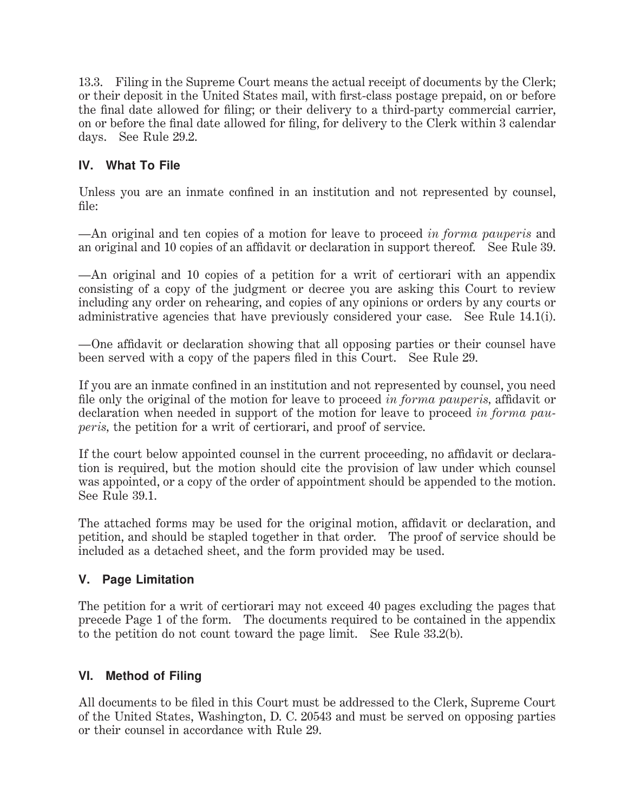13.3. Filing in the Supreme Court means the actual receipt of documents by the Clerk; or their deposit in the United States mail, with first-class postage prepaid, on or before the final date allowed for filing; or their delivery to a third-party commercial carrier, on or before the final date allowed for filing, for delivery to the Clerk within 3 calendar days. See Rule 29.2.

## **IV. What To File**

Unless you are an inmate confined in an institution and not represented by counsel, file:

—An original and ten copies of a motion for leave to proceed *in forma pauperis* and an original and 10 copies of an affidavit or declaration in support thereof. See Rule 39.

—An original and 10 copies of a petition for a writ of certiorari with an appendix consisting of a copy of the judgment or decree you are asking this Court to review including any order on rehearing, and copies of any opinions or orders by any courts or administrative agencies that have previously considered your case. See Rule 14.1(i).

—One affidavit or declaration showing that all opposing parties or their counsel have been served with a copy of the papers filed in this Court. See Rule 29.

If you are an inmate confined in an institution and not represented by counsel, you need file only the original of the motion for leave to proceed *in forma pauperis,* affidavit or declaration when needed in support of the motion for leave to proceed *in forma pauperis,* the petition for a writ of certiorari, and proof of service.

If the court below appointed counsel in the current proceeding, no affidavit or declaration is required, but the motion should cite the provision of law under which counsel was appointed, or a copy of the order of appointment should be appended to the motion. See Rule 39.1.

The attached forms may be used for the original motion, affidavit or declaration, and petition, and should be stapled together in that order. The proof of service should be included as a detached sheet, and the form provided may be used.

#### **V. Page Limitation**

The petition for a writ of certiorari may not exceed 40 pages excluding the pages that precede Page 1 of the form. The documents required to be contained in the appendix to the petition do not count toward the page limit. See Rule 33.2(b).

#### **VI. Method of Filing**

All documents to be filed in this Court must be addressed to the Clerk, Supreme Court of the United States, Washington, D. C. 20543 and must be served on opposing parties or their counsel in accordance with Rule 29.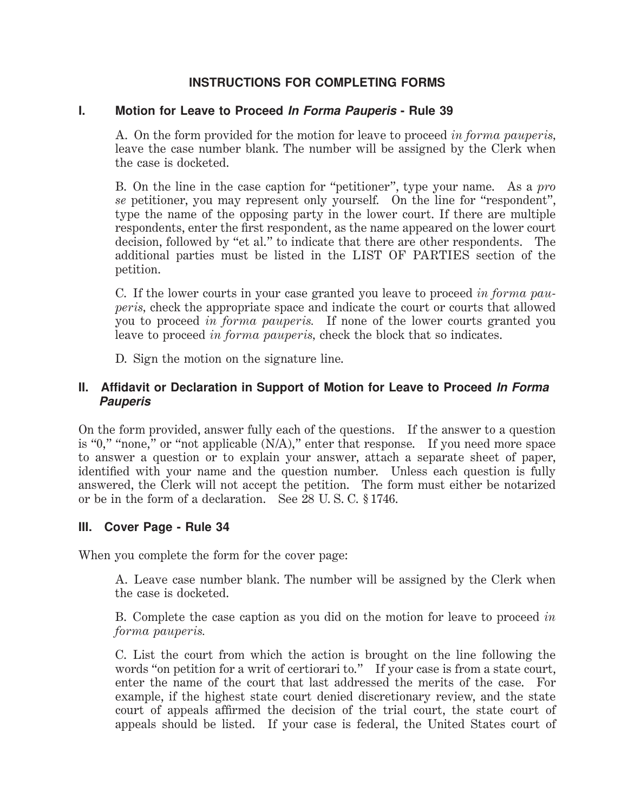#### **INSTRUCTIONS FOR COMPLETING FORMS**

#### **I. Motion for Leave to Proceed In Forma Pauperis - Rule 39**

A. On the form provided for the motion for leave to proceed *in forma pauperis,* leave the case number blank. The number will be assigned by the Clerk when the case is docketed.

B. On the line in the case caption for "petitioner", type your name. As a *pro se* petitioner, you may represent only yourself. On the line for "respondent", type the name of the opposing party in the lower court. If there are multiple respondents, enter the first respondent, as the name appeared on the lower court decision, followed by "et al." to indicate that there are other respondents. The additional parties must be listed in the LIST OF PARTIES section of the petition.

C. If the lower courts in your case granted you leave to proceed *in forma pauperis,* check the appropriate space and indicate the court or courts that allowed you to proceed *in forma pauperis.* If none of the lower courts granted you leave to proceed *in forma pauperis,* check the block that so indicates.

D. Sign the motion on the signature line.

#### **II. Affidavit or Declaration in Support of Motion for Leave to Proceed In Forma Pauperis**

On the form provided, answer fully each of the questions. If the answer to a question is "0," "none," or "not applicable (N/A)," enter that response. If you need more space to answer a question or to explain your answer, attach a separate sheet of paper, identified with your name and the question number. Unless each question is fully answered, the Clerk will not accept the petition. The form must either be notarized or be in the form of a declaration. See 28 U. S. C. § 1746.

#### **III. Cover Page - Rule 34**

When you complete the form for the cover page:

A. Leave case number blank. The number will be assigned by the Clerk when the case is docketed.

B. Complete the case caption as you did on the motion for leave to proceed *in forma pauperis.*

C. List the court from which the action is brought on the line following the words "on petition for a writ of certiorari to." If your case is from a state court, enter the name of the court that last addressed the merits of the case. For example, if the highest state court denied discretionary review, and the state court of appeals affirmed the decision of the trial court, the state court of appeals should be listed. If your case is federal, the United States court of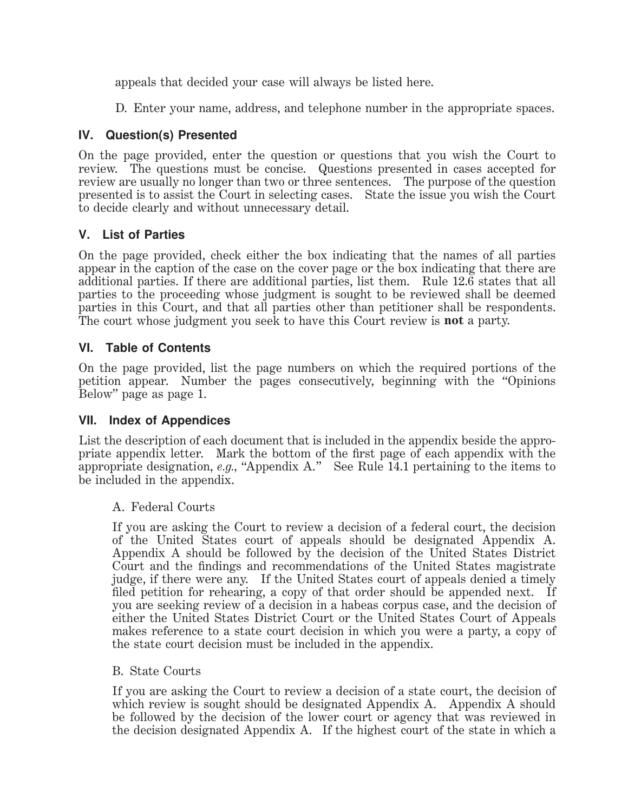appeals that decided your case will always be listed here.

D. Enter your name, address, and telephone number in the appropriate spaces.

## **IV. Question(s) Presented**

On the page provided, enter the question or questions that you wish the Court to review. The questions must be concise. Questions presented in cases accepted for review are usually no longer than two or three sentences. The purpose of the question presented is to assist the Court in selecting cases. State the issue you wish the Court to decide clearly and without unnecessary detail.

## **V. List of Parties**

On the page provided, check either the box indicating that the names of all parties appear in the caption of the case on the cover page or the box indicating that there are additional parties. If there are additional parties, list them. Rule 12.6 states that all parties to the proceeding whose judgment is sought to be reviewed shall be deemed parties in this Court, and that all parties other than petitioner shall be respondents. The court whose judgment you seek to have this Court review is **not** a party.

## **VI. Table of Contents**

On the page provided, list the page numbers on which the required portions of the petition appear. Number the pages consecutively, beginning with the "Opinions Below" page as page 1.

#### **VII. Index of Appendices**

List the description of each document that is included in the appendix beside the appropriate appendix letter. Mark the bottom of the first page of each appendix with the appropriate designation, *e.g.,* "Appendix A." See Rule 14.1 pertaining to the items to be included in the appendix.

#### A. Federal Courts

If you are asking the Court to review a decision of a federal court, the decision of the United States court of appeals should be designated Appendix A. Appendix A should be followed by the decision of the United States District Court and the findings and recommendations of the United States magistrate judge, if there were any. If the United States court of appeals denied a timely filed petition for rehearing, a copy of that order should be appended next. If you are seeking review of a decision in a habeas corpus case, and the decision of either the United States District Court or the United States Court of Appeals makes reference to a state court decision in which you were a party, a copy of the state court decision must be included in the appendix.

#### B. State Courts

If you are asking the Court to review a decision of a state court, the decision of which review is sought should be designated Appendix A. Appendix A should be followed by the decision of the lower court or agency that was reviewed in the decision designated Appendix A. If the highest court of the state in which a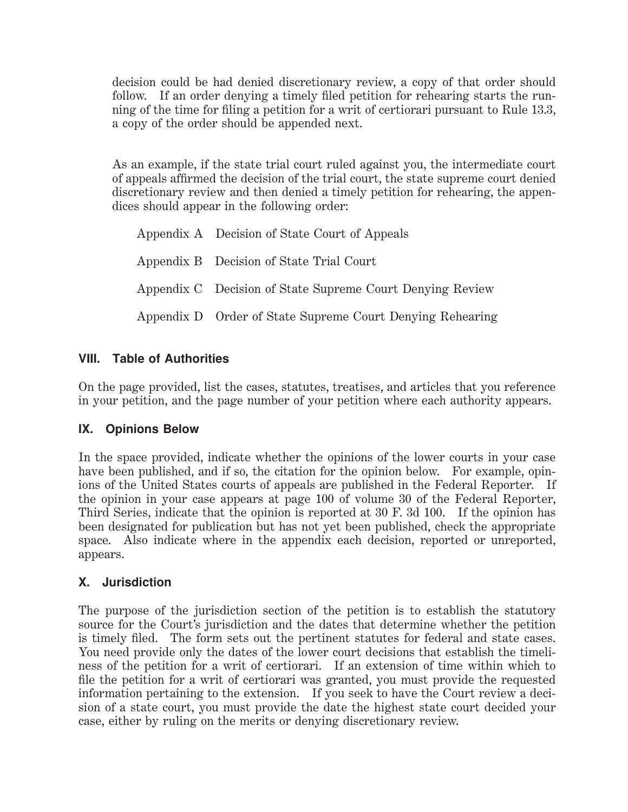decision could be had denied discretionary review, a copy of that order should follow. If an order denying a timely filed petition for rehearing starts the running of the time for filing a petition for a writ of certiorari pursuant to Rule 13.3, a copy of the order should be appended next.

As an example, if the state trial court ruled against you, the intermediate court of appeals affirmed the decision of the trial court, the state supreme court denied discretionary review and then denied a timely petition for rehearing, the appendices should appear in the following order:

Appendix A Decision of State Court of Appeals Appendix B Decision of State Trial Court Appendix C Decision of State Supreme Court Denying Review Appendix D Order of State Supreme Court Denying Rehearing

#### **VIII. Table of Authorities**

On the page provided, list the cases, statutes, treatises, and articles that you reference in your petition, and the page number of your petition where each authority appears.

#### **IX. Opinions Below**

In the space provided, indicate whether the opinions of the lower courts in your case have been published, and if so, the citation for the opinion below. For example, opinions of the United States courts of appeals are published in the Federal Reporter. If the opinion in your case appears at page 100 of volume 30 of the Federal Reporter, Third Series, indicate that the opinion is reported at 30 F. 3d 100. If the opinion has been designated for publication but has not yet been published, check the appropriate space. Also indicate where in the appendix each decision, reported or unreported, appears.

#### **X. Jurisdiction**

The purpose of the jurisdiction section of the petition is to establish the statutory source for the Court's jurisdiction and the dates that determine whether the petition is timely filed. The form sets out the pertinent statutes for federal and state cases. You need provide only the dates of the lower court decisions that establish the timeliness of the petition for a writ of certiorari. If an extension of time within which to file the petition for a writ of certiorari was granted, you must provide the requested information pertaining to the extension. If you seek to have the Court review a decision of a state court, you must provide the date the highest state court decided your case, either by ruling on the merits or denying discretionary review.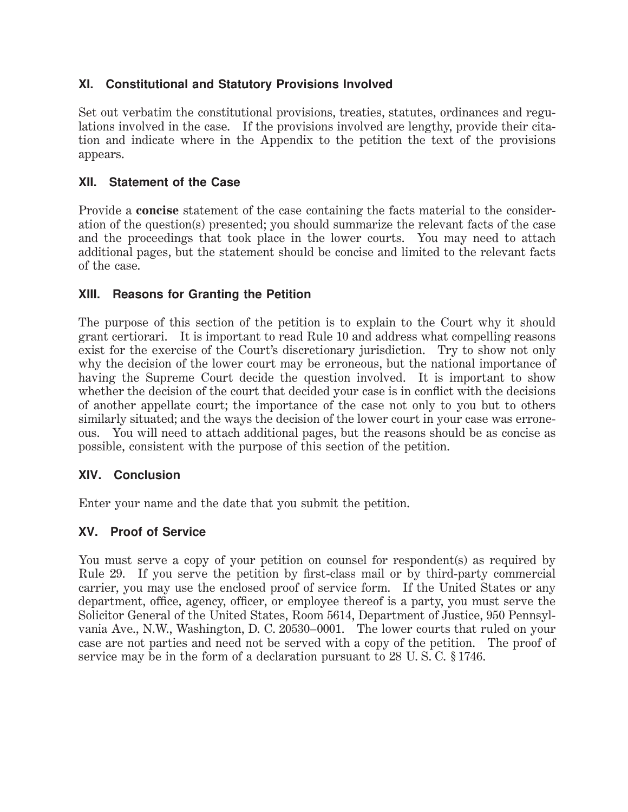## **XI. Constitutional and Statutory Provisions Involved**

Set out verbatim the constitutional provisions, treaties, statutes, ordinances and regulations involved in the case. If the provisions involved are lengthy, provide their citation and indicate where in the Appendix to the petition the text of the provisions appears.

#### **XII. Statement of the Case**

Provide a **concise** statement of the case containing the facts material to the consideration of the question(s) presented; you should summarize the relevant facts of the case and the proceedings that took place in the lower courts. You may need to attach additional pages, but the statement should be concise and limited to the relevant facts of the case.

#### **XIII. Reasons for Granting the Petition**

The purpose of this section of the petition is to explain to the Court why it should grant certiorari. It is important to read Rule 10 and address what compelling reasons exist for the exercise of the Court's discretionary jurisdiction. Try to show not only why the decision of the lower court may be erroneous, but the national importance of having the Supreme Court decide the question involved. It is important to show whether the decision of the court that decided your case is in conflict with the decisions of another appellate court; the importance of the case not only to you but to others similarly situated; and the ways the decision of the lower court in your case was erroneous. You will need to attach additional pages, but the reasons should be as concise as possible, consistent with the purpose of this section of the petition.

#### **XIV. Conclusion**

Enter your name and the date that you submit the petition.

#### **XV. Proof of Service**

You must serve a copy of your petition on counsel for respondents as required by Rule 29. If you serve the petition by first-class mail or by third-party commercial carrier, you may use the enclosed proof of service form. If the United States or any department, office, agency, officer, or employee thereof is a party, you must serve the Solicitor General of the United States, Room 5614, Department of Justice, 950 Pennsylvania Ave., N.W., Washington, D. C. 20530–0001. The lower courts that ruled on your case are not parties and need not be served with a copy of the petition. The proof of service may be in the form of a declaration pursuant to 28 U. S. C. § 1746.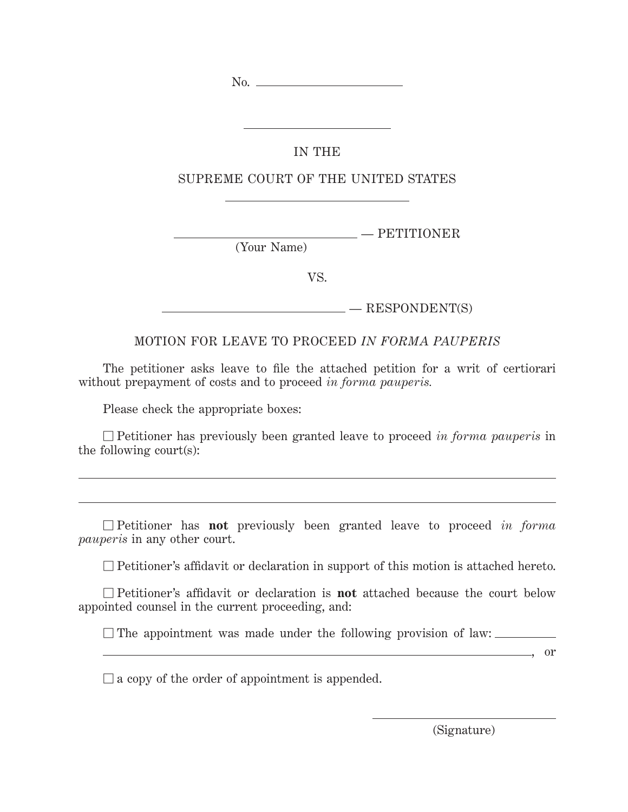No.

# IN THE

## SUPREME COURT OF THE UNITED STATES

— PETITIONER

(Your Name)

VS.

— RESPONDENT(S)

#### MOTION FOR LEAVE TO PROCEED *IN FORMA PAUPERIS*

The petitioner asks leave to file the attached petition for a writ of certiorari without prepayment of costs and to proceed *in forma pauperis.*

Please check the appropriate boxes:

D Petitioner has previously been granted leave to proceed *in forma pauperis* in the following court(s):

D Petitioner has **not** previously been granted leave to proceed *in forma pauperis* in any other court.

 $\Box$  Petitioner's affidavit or declaration in support of this motion is attached hereto.

D Petitioner's affidavit or declaration is **not** attached because the court below appointed counsel in the current proceeding, and:

 $\Box$  The appointment was made under the following provision of law:

<u>same</u>, or

 $\square$  a copy of the order of appointment is appended.

(Signature)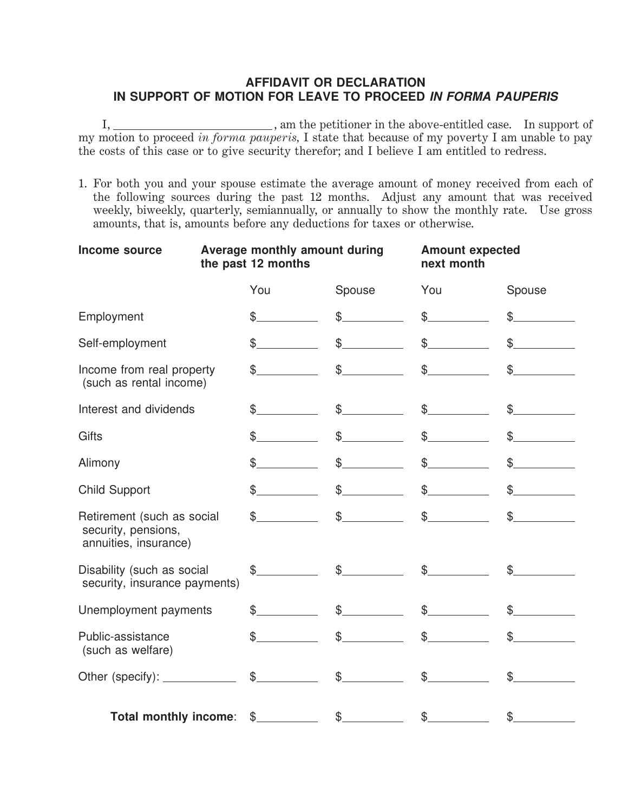#### **AFFIDAVIT OR DECLARATION IN SUPPORT OF MOTION FOR LEAVE TO PROCEED IN FORMA PAUPERIS**

I, \_\_\_\_\_\_\_\_\_\_\_\_\_\_\_\_\_\_\_\_\_\_\_\_\_\_, am the petitioner in the above-entitled case. In support of my motion to proceed *in forma pauperis,* I state that because of my poverty I am unable to pay the costs of this case or to give security therefor; and I believe I am entitled to redress.

1. For both you and your spouse estimate the average amount of money received from each of the following sources during the past 12 months. Adjust any amount that was received weekly, biweekly, quarterly, semiannually, or annually to show the monthly rate. Use gross amounts, that is, amounts before any deductions for taxes or otherwise.

| Income source                                                              | Average monthly amount during<br>the past 12 months |               | <b>Amount expected</b><br>next month                                                                                                                                                                                                                                                                                |               |
|----------------------------------------------------------------------------|-----------------------------------------------------|---------------|---------------------------------------------------------------------------------------------------------------------------------------------------------------------------------------------------------------------------------------------------------------------------------------------------------------------|---------------|
|                                                                            | You                                                 | Spouse        | You                                                                                                                                                                                                                                                                                                                 | Spouse        |
| Employment                                                                 | \$                                                  | $\mathbb{S}$  | $\mathbb{S}$                                                                                                                                                                                                                                                                                                        | $\mathbb S$   |
| Self-employment                                                            | $\mathbb{S}$                                        | $\mathbb{S}$  | $\frac{1}{2}$                                                                                                                                                                                                                                                                                                       | $\mathbb{S}$  |
| Income from real property<br>(such as rental income)                       | \$                                                  | $\frac{1}{2}$ | $\frac{1}{2}$                                                                                                                                                                                                                                                                                                       | $\mathbb{S}$  |
| Interest and dividends                                                     | $\mathbb{S}$                                        | $\mathbb{S}$  | $\mathbb{S}$                                                                                                                                                                                                                                                                                                        | $\mathbb{S}$  |
| Gifts                                                                      | $\mathcal{S}$                                       | $\frac{1}{2}$ | $\mathbb{S}$                                                                                                                                                                                                                                                                                                        | $\mathcal{S}$ |
| Alimony                                                                    | $\mathbb{S}$                                        | $\mathbb{S}$  | $\frac{1}{2}$                                                                                                                                                                                                                                                                                                       | $\frac{1}{2}$ |
| <b>Child Support</b>                                                       | $\mathbb S$                                         | $\mathbb{S}$  | $\mathbb{S}$                                                                                                                                                                                                                                                                                                        | $\mathbb S$   |
| Retirement (such as social<br>security, pensions,<br>annuities, insurance) | $\mathbb{S}$                                        |               | $\frac{1}{2}$ $\frac{1}{2}$ $\frac{1}{2}$ $\frac{1}{2}$ $\frac{1}{2}$ $\frac{1}{2}$ $\frac{1}{2}$ $\frac{1}{2}$ $\frac{1}{2}$ $\frac{1}{2}$ $\frac{1}{2}$ $\frac{1}{2}$ $\frac{1}{2}$ $\frac{1}{2}$ $\frac{1}{2}$ $\frac{1}{2}$ $\frac{1}{2}$ $\frac{1}{2}$ $\frac{1}{2}$ $\frac{1}{2}$ $\frac{1}{2}$ $\frac{1}{2}$ | $\frac{1}{2}$ |
| Disability (such as social<br>security, insurance payments)                | $\mathbb{S}$                                        |               | $\frac{1}{2}$                                                                                                                                                                                                                                                                                                       |               |
| Unemployment payments                                                      | $\mathbb{S}$                                        |               | $\frac{1}{2}$ $\frac{1}{2}$ $\frac{1}{2}$ $\frac{1}{2}$ $\frac{1}{2}$ $\frac{1}{2}$ $\frac{1}{2}$ $\frac{1}{2}$ $\frac{1}{2}$ $\frac{1}{2}$ $\frac{1}{2}$ $\frac{1}{2}$ $\frac{1}{2}$ $\frac{1}{2}$ $\frac{1}{2}$ $\frac{1}{2}$ $\frac{1}{2}$ $\frac{1}{2}$ $\frac{1}{2}$ $\frac{1}{2}$ $\frac{1}{2}$ $\frac{1}{2}$ | $\mathbb{S}$  |
| Public-assistance<br>(such as welfare)                                     | $\mathcal{S}$                                       | $\mathcal{S}$ | $\frac{1}{2}$                                                                                                                                                                                                                                                                                                       | $\frac{1}{2}$ |
| Other (specify): ____________                                              | $\mathbb{S}$                                        |               | $\mathfrak s$ s and $\mathfrak s$                                                                                                                                                                                                                                                                                   | $\mathbb{S}$  |
| Total monthly income: \$                                                   |                                                     | $\mathcal{S}$ | $\mathbb{S}$                                                                                                                                                                                                                                                                                                        | $\mathbb S$   |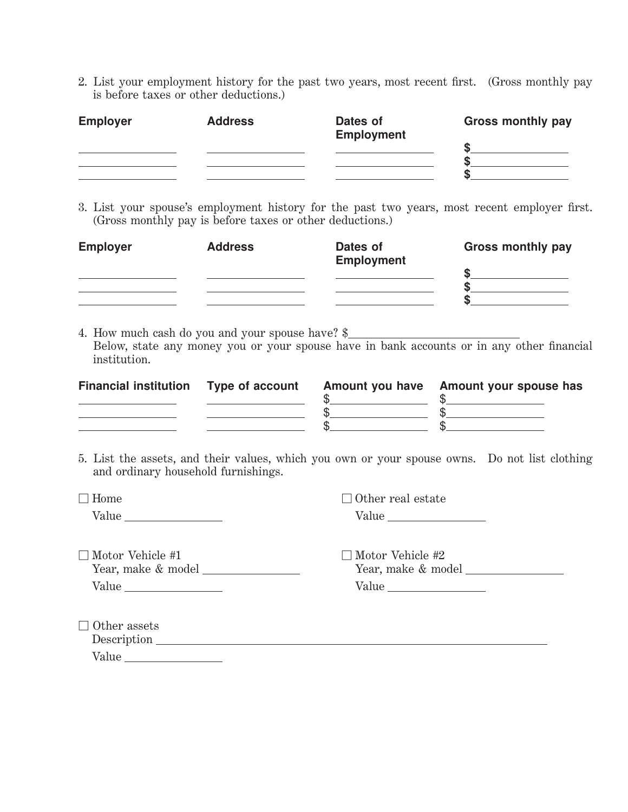2. List your employment history for the past two years, most recent first. (Gross monthly pay is before taxes or other deductions.)

| <b>Employer</b> | <b>Address</b> | Dates of<br><b>Employment</b> | <b>Gross monthly pay</b> |
|-----------------|----------------|-------------------------------|--------------------------|
|                 |                |                               |                          |
|                 |                |                               |                          |

3. List your spouse's employment history for the past two years, most recent employer first. (Gross monthly pay is before taxes or other deductions.)

| <b>Employer</b> | <b>Address</b> | Dates of<br><b>Employment</b> | <b>Gross monthly pay</b> |
|-----------------|----------------|-------------------------------|--------------------------|
|                 |                |                               |                          |
|                 |                |                               |                          |

4. How much cash do you and your spouse have? \$ Below, state any money you or your spouse have in bank accounts or in any other financial institution.

|  | Financial institution Type of account Amount you have Amount your spouse has |
|--|------------------------------------------------------------------------------|
|  |                                                                              |
|  |                                                                              |
|  |                                                                              |

5. List the assets, and their values, which you own or your spouse owns. Do not list clothing and ordinary household furnishings.

| $\square$ Home                                                                                                                                                                                                                                                                                                                                                                 | $\Box$ Other real estate |  |
|--------------------------------------------------------------------------------------------------------------------------------------------------------------------------------------------------------------------------------------------------------------------------------------------------------------------------------------------------------------------------------|--------------------------|--|
|                                                                                                                                                                                                                                                                                                                                                                                |                          |  |
|                                                                                                                                                                                                                                                                                                                                                                                |                          |  |
| $\Box$ Motor Vehicle #1                                                                                                                                                                                                                                                                                                                                                        | $\Box$ Motor Vehicle #2  |  |
| Year, make & model                                                                                                                                                                                                                                                                                                                                                             | Year, make & model       |  |
| Value                                                                                                                                                                                                                                                                                                                                                                          |                          |  |
| $\Box$ Other assets                                                                                                                                                                                                                                                                                                                                                            |                          |  |
|                                                                                                                                                                                                                                                                                                                                                                                |                          |  |
| $Value \begin{tabular}{c} \hline \rule[1mm]{1mm}{1.2mm} \rule[1mm]{1mm}{1.2mm} \rule[1mm]{1mm}{1.2mm} \rule[1mm]{1mm}{1.2mm} \rule[1mm]{1mm}{1.2mm} \rule[1mm]{1mm}{1.2mm} \rule[1mm]{1mm}{1.2mm} \rule[1mm]{1.2mm}{1.2mm} \rule[1mm]{1.2mm}{1.2mm} \rule[1mm]{1.2mm}{1.2mm} \rule[1mm]{1.2mm}{1.2mm} \rule[1mm]{1.2mm}{1.2mm} \rule[1mm]{1.2mm}{1.2mm} \rule[1mm]{1.2mm}{1.2$ |                          |  |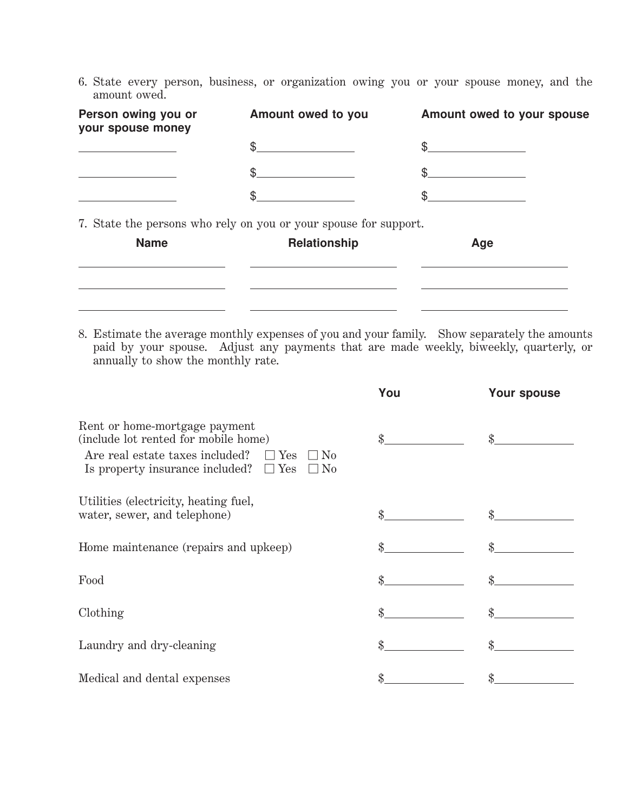6. State every person, business, or organization owing you or your spouse money, and the amount owed.

| $\frac{1}{2}$                                                    |
|------------------------------------------------------------------|
|                                                                  |
|                                                                  |
|                                                                  |
| 7. State the persons who rely on you or your spouse for support. |
| <b>Relationship</b><br>Age                                       |
|                                                                  |

8. Estimate the average monthly expenses of you and your family. Show separately the amounts paid by your spouse. Adjust any payments that are made weekly, biweekly, quarterly, or annually to show the monthly rate.

|                                                                                                                                                                                                       | You            | <b>Your spouse</b> |
|-------------------------------------------------------------------------------------------------------------------------------------------------------------------------------------------------------|----------------|--------------------|
| Rent or home-mortgage payment<br>(include lot rented for mobile home)<br>Are real estate taxes included?<br>$\Box$ Yes<br>N <sub>0</sub><br>Is property insurance included?<br>$\Box$ Yes<br>$\rm No$ | $\mathbf{\$\}$ |                    |
| Utilities (electricity, heating fuel,<br>water, sewer, and telephone)                                                                                                                                 | \$             |                    |
| Home maintenance (repairs and upkeep)                                                                                                                                                                 |                |                    |
| Food                                                                                                                                                                                                  |                |                    |
| Clothing                                                                                                                                                                                              |                |                    |
| Laundry and dry-cleaning                                                                                                                                                                              |                |                    |
| Medical and dental expenses                                                                                                                                                                           | \$             |                    |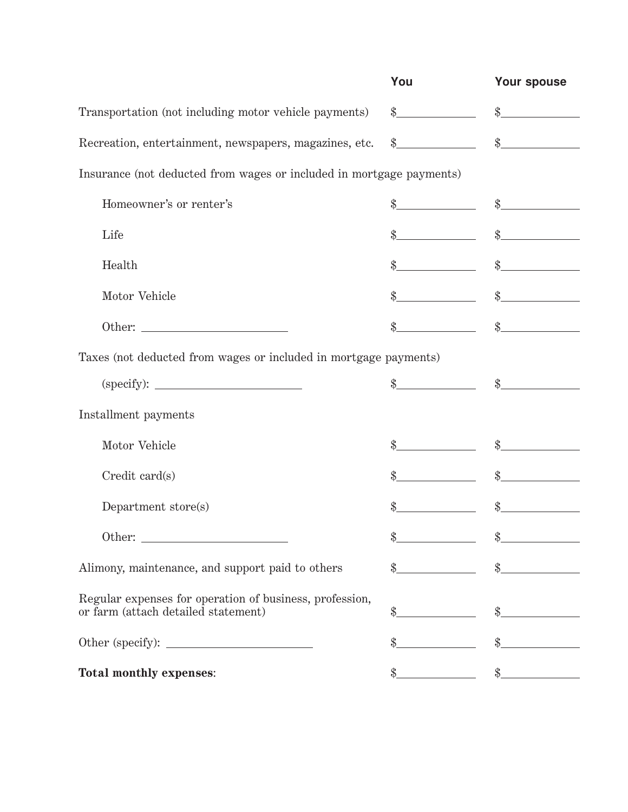|                                                                                                | You               | <b>Your spouse</b>                                                                                                                                                                                                                                                                                                                                                                                                                                                                                                     |
|------------------------------------------------------------------------------------------------|-------------------|------------------------------------------------------------------------------------------------------------------------------------------------------------------------------------------------------------------------------------------------------------------------------------------------------------------------------------------------------------------------------------------------------------------------------------------------------------------------------------------------------------------------|
| Transportation (not including motor vehicle payments)                                          | $\frac{1}{2}$     | $\mathcal{S}$                                                                                                                                                                                                                                                                                                                                                                                                                                                                                                          |
| Recreation, entertainment, newspapers, magazines, etc.                                         | $\frac{1}{2}$     | $\frac{1}{2}$                                                                                                                                                                                                                                                                                                                                                                                                                                                                                                          |
| Insurance (not deducted from wages or included in mortgage payments)                           |                   |                                                                                                                                                                                                                                                                                                                                                                                                                                                                                                                        |
| Homeowner's or renter's                                                                        | $\frac{1}{2}$     | $\frac{1}{2}$                                                                                                                                                                                                                                                                                                                                                                                                                                                                                                          |
| Life                                                                                           | $\frac{1}{2}$     | $\frac{1}{2}$                                                                                                                                                                                                                                                                                                                                                                                                                                                                                                          |
| Health                                                                                         | $\mathbb S$       | $\sim$                                                                                                                                                                                                                                                                                                                                                                                                                                                                                                                 |
| Motor Vehicle                                                                                  | $\mathbb S$       | $\frac{1}{2}$                                                                                                                                                                                                                                                                                                                                                                                                                                                                                                          |
|                                                                                                | $\mathbb S$       | $\mathbb S$                                                                                                                                                                                                                                                                                                                                                                                                                                                                                                            |
| Taxes (not deducted from wages or included in mortgage payments)                               |                   |                                                                                                                                                                                                                                                                                                                                                                                                                                                                                                                        |
|                                                                                                |                   | $\frac{1}{2}$                                                                                                                                                                                                                                                                                                                                                                                                                                                                                                          |
| Installment payments                                                                           |                   |                                                                                                                                                                                                                                                                                                                                                                                                                                                                                                                        |
| Motor Vehicle                                                                                  | $\sim$            | $\frac{1}{2}$                                                                                                                                                                                                                                                                                                                                                                                                                                                                                                          |
| Credit card(s)                                                                                 | $\sim$            | $\mathcal{S}$                                                                                                                                                                                                                                                                                                                                                                                                                                                                                                          |
| Department store(s)                                                                            | $\frac{1}{2}$     | $\mathcal{S}_{-}$                                                                                                                                                                                                                                                                                                                                                                                                                                                                                                      |
|                                                                                                |                   | $\mathcal{S}_{-}$                                                                                                                                                                                                                                                                                                                                                                                                                                                                                                      |
| Alimony, maintenance, and support paid to others                                               | $\frac{1}{2}$     | $\frac{1}{2}$                                                                                                                                                                                                                                                                                                                                                                                                                                                                                                          |
| Regular expenses for operation of business, profession,<br>or farm (attach detailed statement) | $\frac{1}{2}$     | $\mathcal{L}_{-}$                                                                                                                                                                                                                                                                                                                                                                                                                                                                                                      |
|                                                                                                | $\mathcal{S}_{-}$ | $\begin{array}{c} \n\text{\$} \quad \text{\$} \quad \text{\$} \quad \text{\$} \quad \text{\$} \quad \text{\$} \quad \text{\$} \quad \text{\$} \quad \text{\$} \quad \text{\$} \quad \text{\$} \quad \text{\$} \quad \text{\$} \quad \text{\$} \quad \text{\$} \quad \text{\$} \quad \text{\$} \quad \text{\$} \quad \text{\$} \quad \text{\$} \quad \text{\$} \quad \text{\$} \quad \text{\$} \quad \text{\$} \quad \text{\$} \quad \text{\$} \quad \text{\$} \quad \text{\$} \quad \text{\$} \quad \text{\$} \quad \$ |
| <b>Total monthly expenses:</b>                                                                 | $\frac{1}{2}$     | $\frac{1}{2}$                                                                                                                                                                                                                                                                                                                                                                                                                                                                                                          |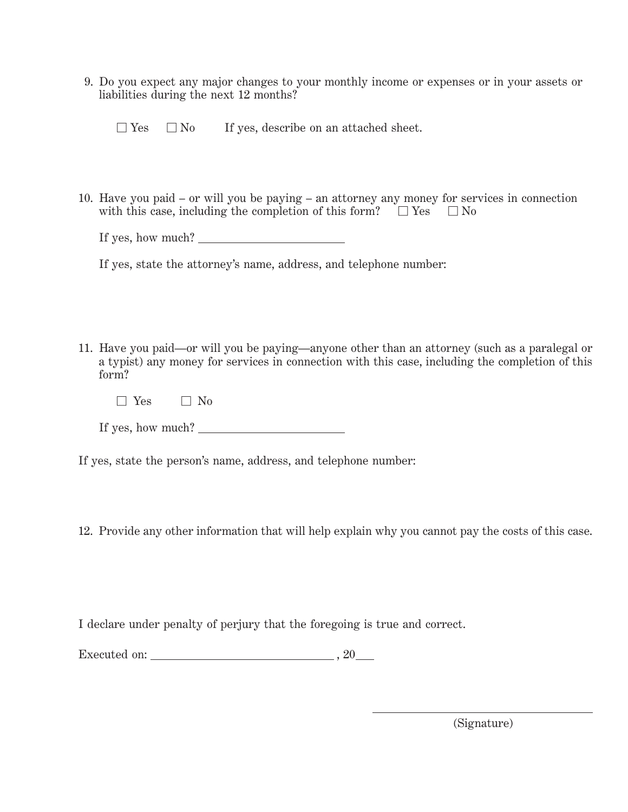9. Do you expect any major changes to your monthly income or expenses or in your assets or liabilities during the next 12 months?

| $\Box$ Yes | $\Box$ No |  |  |  | If yes, describe on an attached sheet. |  |
|------------|-----------|--|--|--|----------------------------------------|--|
|------------|-----------|--|--|--|----------------------------------------|--|

10. Have you paid – or will you be paying – an attorney any money for services in connection with this case, including the completion of this form?  $\Box$  Yes  $\Box$  No

| If yes, state the attorney's name, address, and telephone number: |
|-------------------------------------------------------------------|
|-------------------------------------------------------------------|

- 11. Have you paid—or will you be paying—anyone other than an attorney (such as a paralegal or a typist) any money for services in connection with this case, including the completion of this form?
	- $\Box$  Yes  $\Box$  No

| If yes, how much? |  |
|-------------------|--|
|                   |  |

If yes, state the person's name, address, and telephone number:

12. Provide any other information that will help explain why you cannot pay the costs of this case.

I declare under penalty of perjury that the foregoing is true and correct.

Executed on: , 20

(Signature)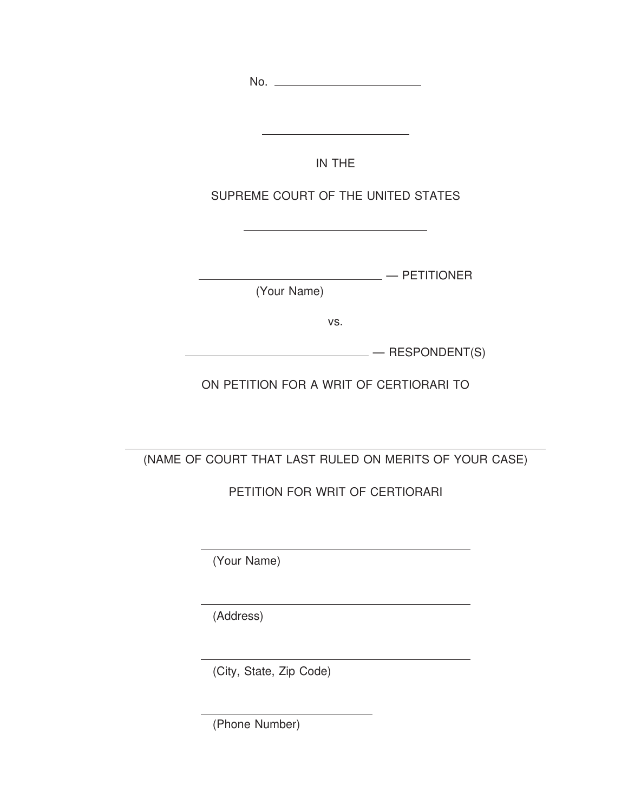No.

## IN THE

#### SUPREME COURT OF THE UNITED STATES

— PETITIONER

vs.

(Your Name)

**MARKET AND RESPONDENT(S)** 

ON PETITION FOR A WRIT OF CERTIORARI TO

(NAME OF COURT THAT LAST RULED ON MERITS OF YOUR CASE)

PETITION FOR WRIT OF CERTIORARI

(Your Name)

(Address)

(City, State, Zip Code)

(Phone Number)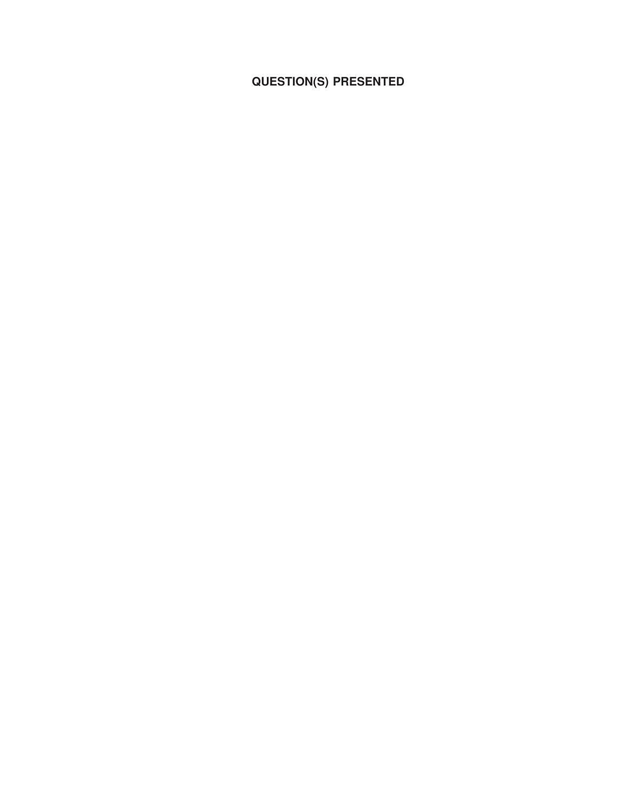**QUESTION(S) PRESENTED**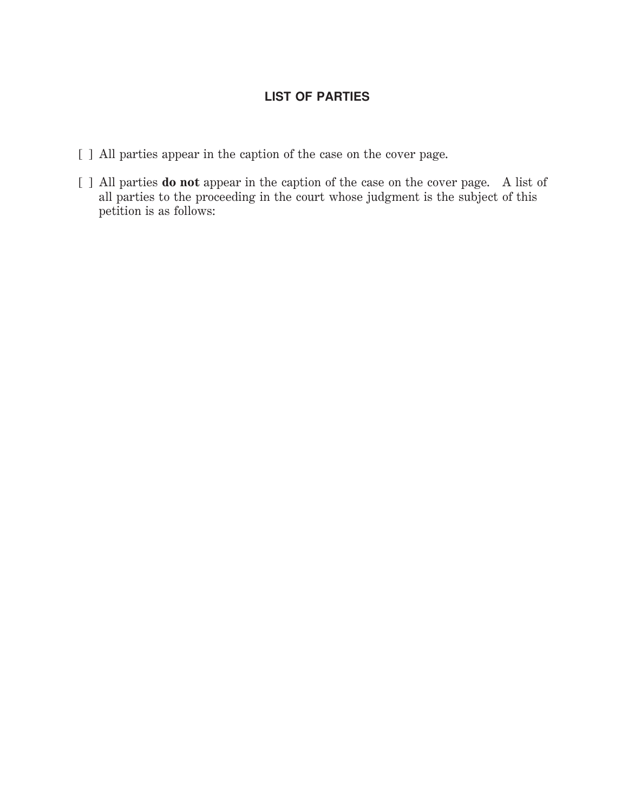#### **LIST OF PARTIES**

- [ ] All parties appear in the caption of the case on the cover page.
- [ ] All parties **do not** appear in the caption of the case on the cover page. A list of all parties to the proceeding in the court whose judgment is the subject of this petition is as follows: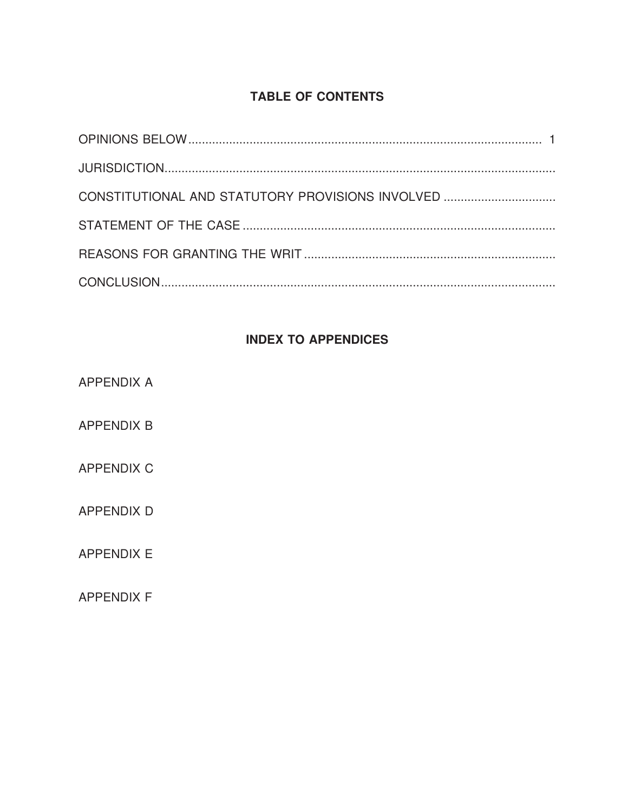# **TABLE OF CONTENTS**

| CONSTITUTIONAL AND STATUTORY PROVISIONS INVOLVED |
|--------------------------------------------------|
|                                                  |
|                                                  |
|                                                  |

# **INDEX TO APPENDICES**

**APPENDIX A** 

**APPENDIX B** 

**APPENDIX C** 

APPENDIX D

APPENDIX E

**APPENDIX F**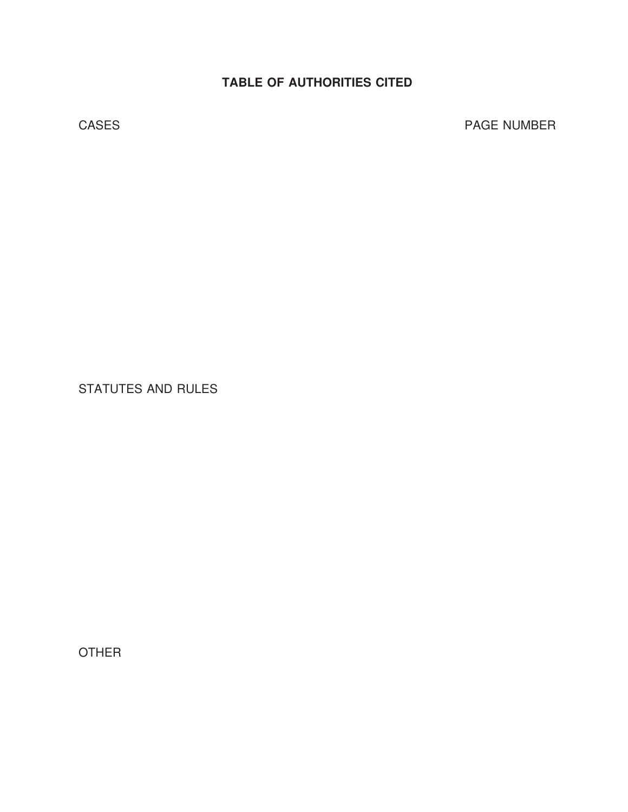# **TABLE OF AUTHORITIES CITED**

CASES PAGE NUMBER

STATUTES AND RULES

OTHER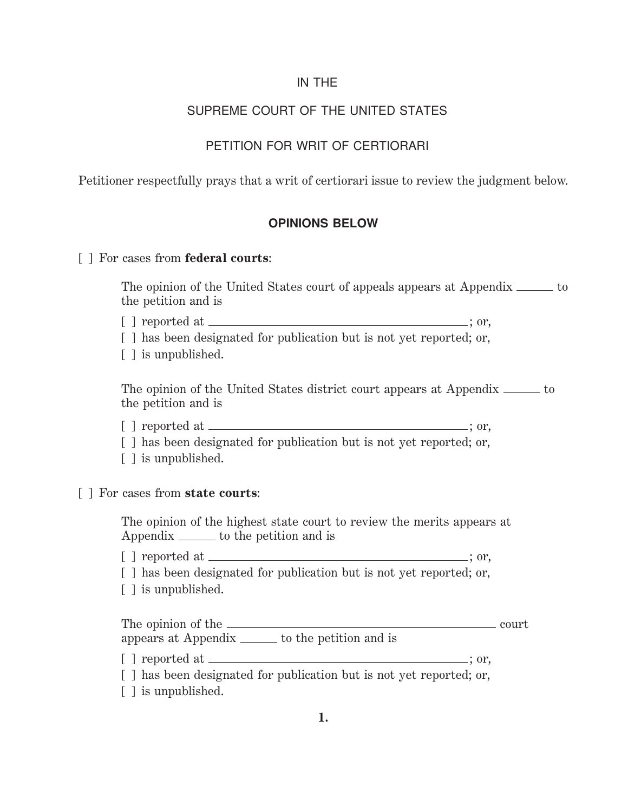#### IN THE

#### SUPREME COURT OF THE UNITED STATES

#### PETITION FOR WRIT OF CERTIORARI

Petitioner respectfully prays that a writ of certiorari issue to review the judgment below.

#### **OPINIONS BELOW**

#### [ ] For cases from **federal courts**:

The opinion of the United States court of appeals appears at Appendix <u>the state</u> to the petition and is

 $\lceil \cdot \rceil$  reported at  $\lceil \cdot \rceil$  is expansion of  $\lceil \cdot \rceil$  is expansion of  $\lceil \cdot \rceil$  is expansion of  $\lceil \cdot \rceil$ 

[ ] has been designated for publication but is not yet reported; or,

[ ] is unpublished.

The opinion of the United States district court appears at Appendix <u>the state</u> to the petition and is

 $\lceil$  ] reported at  $\lceil$ 

[] has been designated for publication but is not yet reported; or,

[ ] is unpublished.

#### [ ] For cases from **state courts**:

The opinion of the highest state court to review the merits appears at Appendix <u>to the petition</u> and is

 $\lceil$  ] reported at  $\lceil$ 

[] has been designated for publication but is not yet reported; or,

[ ] is unpublished.

The opinion of the <u>court</u> court appears at Appendix <u>the petition</u> and is

 $[$   $]$  reported at  $\_\_\_\_\_\_\_$  ; or,

[] has been designated for publication but is not yet reported; or,

[ ] is unpublished.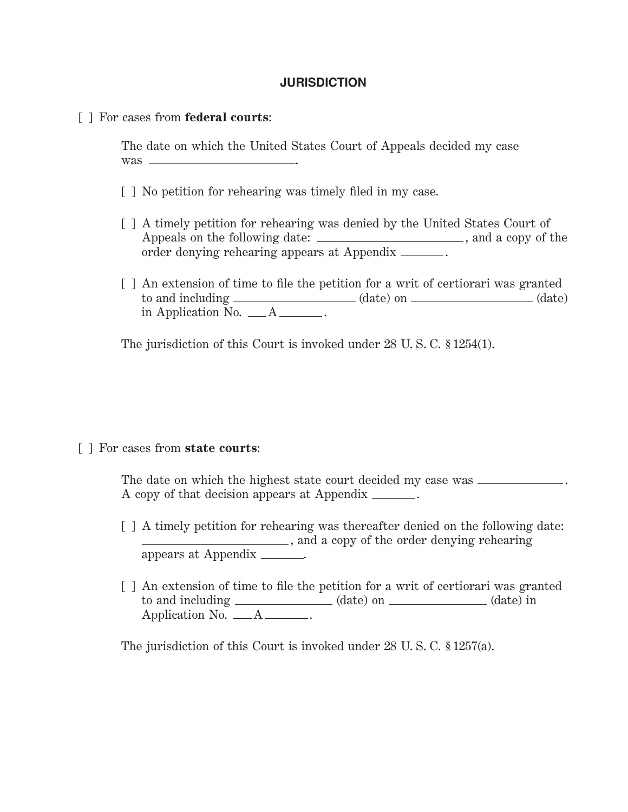#### **JURISDICTION**

#### [ ] For cases from **federal courts**:

The date on which the United States Court of Appeals decided my case was .

- [ ] No petition for rehearing was timely filed in my case.
- [ ] A timely petition for rehearing was denied by the United States Court of Appeals on the following date: \_\_\_\_\_\_\_\_\_\_\_\_\_\_\_\_\_\_\_\_\_\_\_\_, and a copy of the order denying rehearing appears at Appendix .
- [ ] An extension of time to file the petition for a writ of certiorari was granted to and including (date) on (date) in Application  $\overline{N}$ o.  $\underline{\hspace{1cm}}$  A $\underline{\hspace{1cm}}$ .

The jurisdiction of this Court is invoked under 28 U. S. C. § 1254(1).

#### [ ] For cases from **state courts**:

The date on which the highest state court decided my case was \_\_\_\_\_\_\_\_\_\_\_\_\_. A copy of that decision appears at Appendix .

- [ ] A timely petition for rehearing was thereafter denied on the following date: **EXECUTE:**, and a copy of the order denying rehearing appears at Appendix \_\_\_\_\_\_\_.
- [ ] An extension of time to file the petition for a writ of certiorari was granted to and including \_\_\_\_\_\_\_\_\_\_\_\_\_ (date) on \_\_\_\_\_\_\_\_\_ (date) in Application No.  $A$ <sub>-A</sub>

The jurisdiction of this Court is invoked under 28 U. S. C. § 1257(a).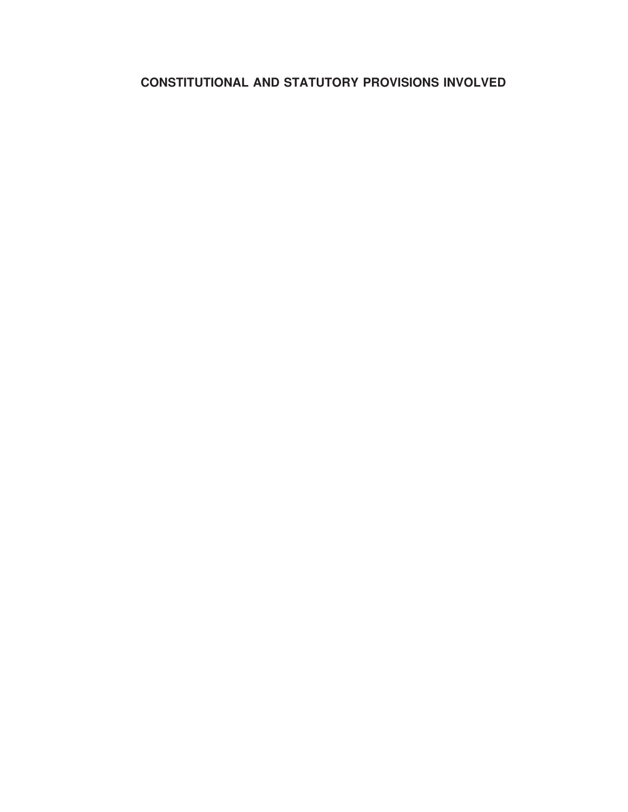# **CONSTITUTIONAL AND STATUTORY PROVISIONS INVOLVED**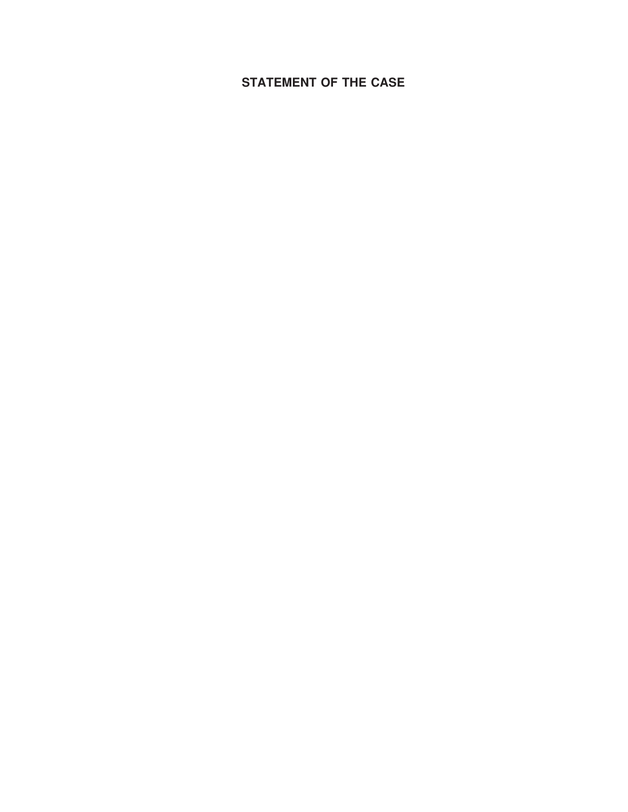# **STATEMENT OF THE CASE**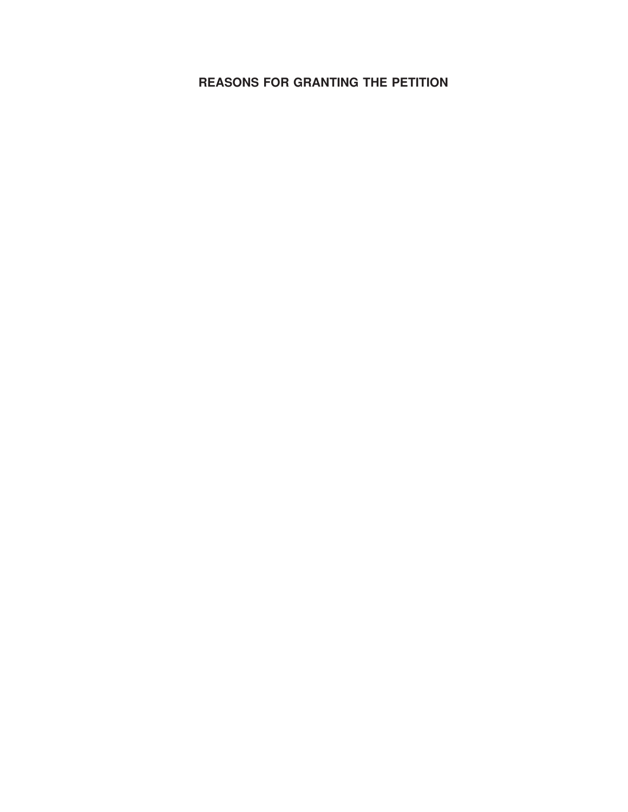**REASONS FOR GRANTING THE PETITION**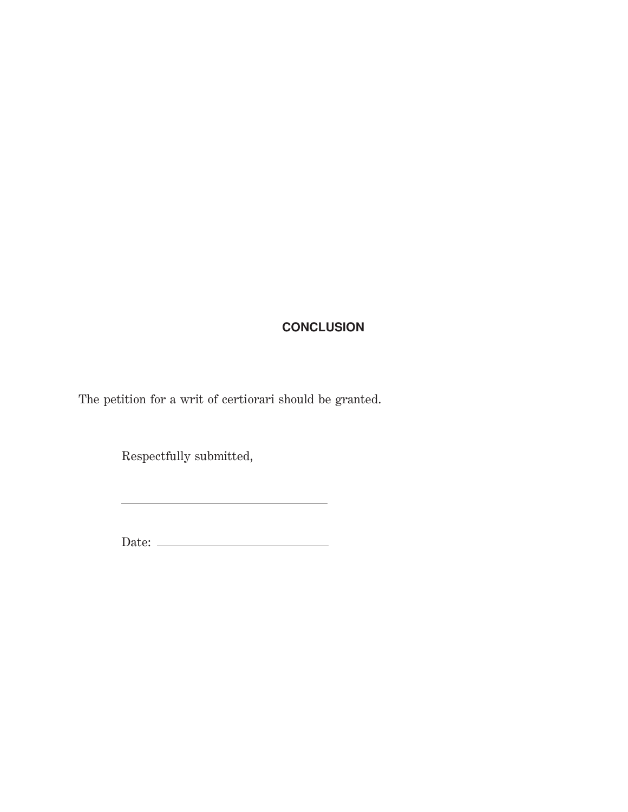# **CONCLUSION**

The petition for a writ of certiorari should be granted.

Respectfully submitted,

Date:

<u> 1989 - Johann Barn, mars eta bainar eta baina eta baina eta baina eta baina eta baina eta baina eta baina e</u>